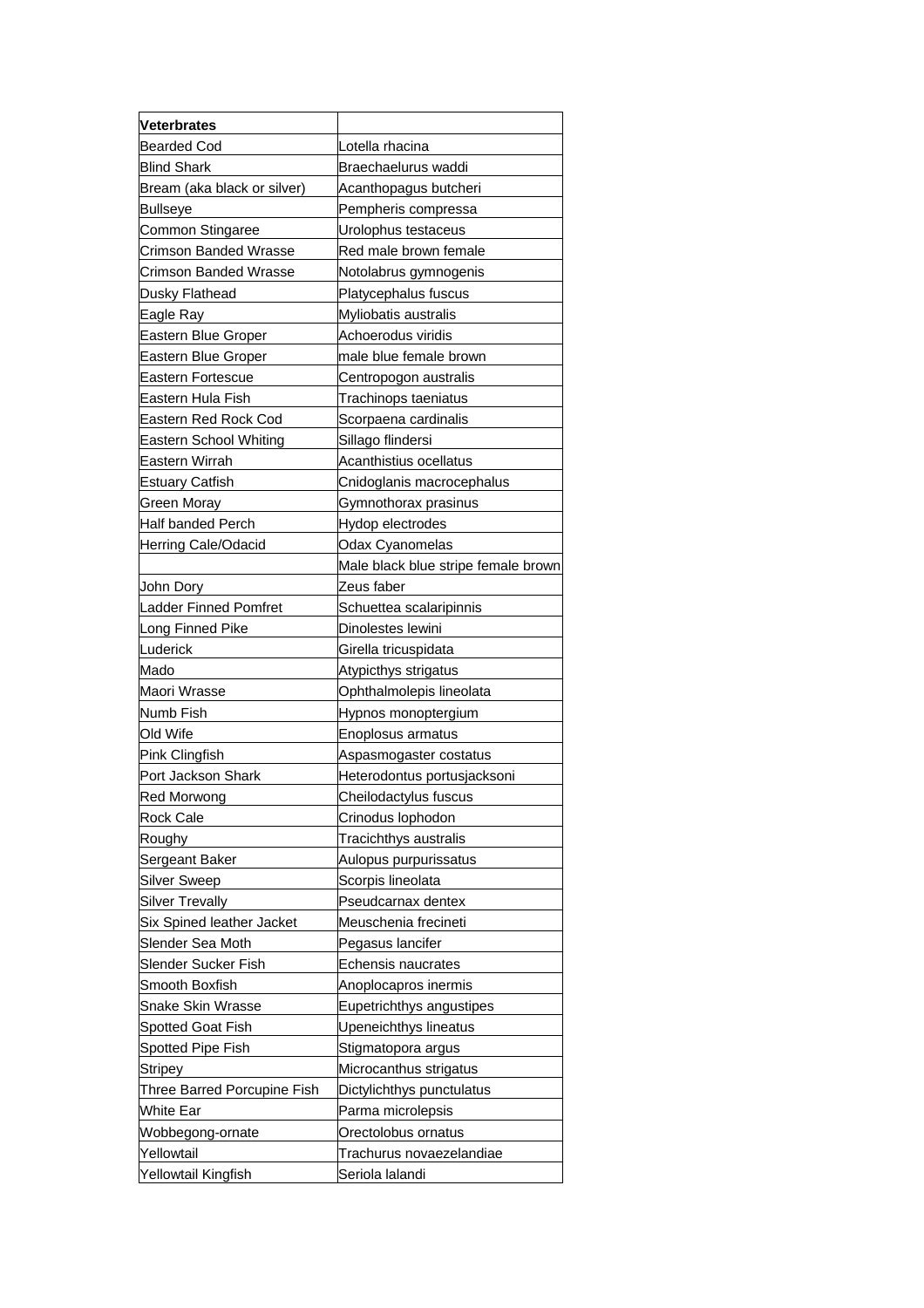| <b>Veterbrates</b>           |                                     |
|------------------------------|-------------------------------------|
| <b>Bearded Cod</b>           | Lotella rhacina                     |
| <b>Blind Shark</b>           | Braechaelurus waddi                 |
| Bream (aka black or silver)  | Acanthopagus butcheri               |
| <b>Bullseye</b>              | Pempheris compressa                 |
| Common Stingaree             | Urolophus testaceus                 |
| Crimson Banded Wrasse        | Red male brown female               |
| <b>Crimson Banded Wrasse</b> | Notolabrus gymnogenis               |
| Dusky Flathead               | Platycephalus fuscus                |
| Eagle Ray                    | Myliobatis australis                |
| Eastern Blue Groper          | Achoerodus viridis                  |
| Eastern Blue Groper          | male blue female brown              |
| Eastern Fortescue            | Centropogon australis               |
| Eastern Hula Fish            | Trachinops taeniatus                |
| Eastern Red Rock Cod         | Scorpaena cardinalis                |
| Eastern School Whiting       | Sillago flindersi                   |
| Eastern Wirrah               | Acanthistius ocellatus              |
| <b>Estuary Catfish</b>       | Cnidoglanis macrocephalus           |
| Green Moray                  | Gymnothorax prasinus                |
| <b>Half banded Perch</b>     | Hydop electrodes                    |
| Herring Cale/Odacid          | Odax Cyanomelas                     |
|                              | Male black blue stripe female brown |
| John Dory                    | Zeus faber                          |
| <b>Ladder Finned Pomfret</b> | Schuettea scalaripinnis             |
| Long Finned Pike             | Dinolestes lewini                   |
| Luderick                     | Girella tricuspidata                |
| Mado                         | Atypicthys strigatus                |
| Maori Wrasse                 | Ophthalmolepis lineolata            |
| Numb Fish                    | Hypnos monoptergium                 |
| Old Wife                     | Enoplosus armatus                   |
| Pink Clingfish               | Aspasmogaster costatus              |
| Port Jackson Shark           | Heterodontus portusjacksoni         |
| Red Morwong                  | Cheilodactylus fuscus               |
| <b>Rock Cale</b>             | Crinodus lophodon                   |
| Roughy                       | Tracichthys australis               |
| Sergeant Baker               | Aulopus purpurissatus               |
| <b>Silver Sweep</b>          | Scorpis lineolata                   |
| <b>Silver Trevally</b>       | Pseudcarnax dentex                  |
| Six Spined leather Jacket    | Meuschenia frecineti                |
| Slender Sea Moth             | Pegasus lancifer                    |
| Slender Sucker Fish          | Echensis naucrates                  |
| Smooth Boxfish               | Anoplocapros inermis                |
| Snake Skin Wrasse            | Eupetrichthys angustipes            |
| Spotted Goat Fish            | Upeneichthys lineatus               |
| Spotted Pipe Fish            | Stigmatopora argus                  |
| <b>Stripey</b>               | Microcanthus strigatus              |
| Three Barred Porcupine Fish  | Dictylichthys punctulatus           |
| White Ear                    | Parma microlepsis                   |
| Wobbegong-ornate             | Orectolobus ornatus                 |
| Yellowtail                   | Trachurus novaezelandiae            |
| Yellowtail Kingfish          | Seriola lalandi                     |